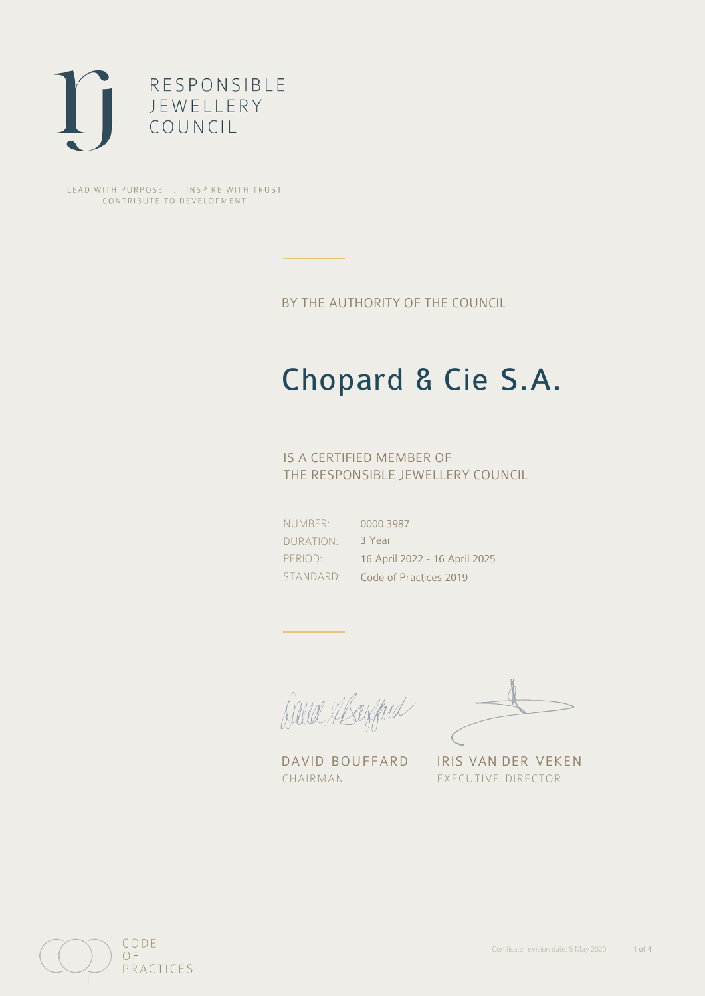

LEAD WITH PURPOSE . INSPIRE WITH TRUST CONTRIBUTE TO DEVELOPMENT

BY THE AUTHORITY OF THE COUNCIL

# Chopard & Cie S.A.

IS A CERTIFIED MEMBER OF THE RESPONSIBLE JEWELLERY COUNCIL

NUMBER: DURATION: PERIOD: STANDARD:

0000 3987 3 Year 16 April 2022 - 16 April 2025 Code of Practices 2019

Julia Mayfard

CHAIRMAN EXECUTIVE DIRECTOR

DAVID BOUFFARD IRIS VAN DER VEKEN

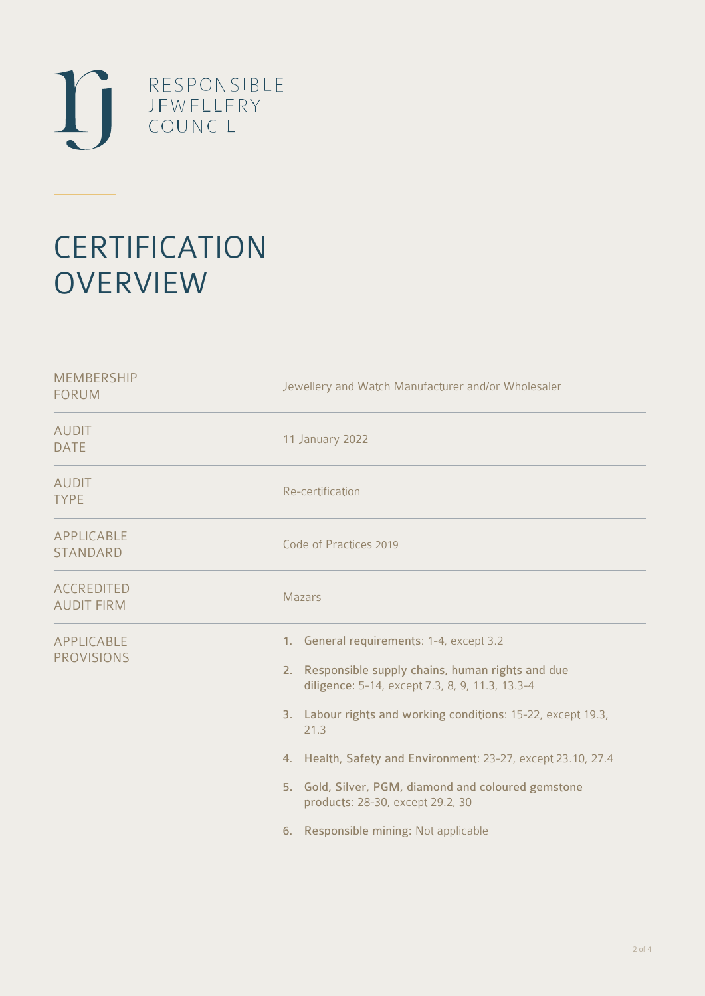

# **CERTIFICATION OVERVIEW**

| <b>MEMBERSHIP</b><br><b>FORUM</b>      | Jewellery and Watch Manufacturer and/or Wholesaler                                                                                                                                                                                                                                                                                                                                                                            |  |  |
|----------------------------------------|-------------------------------------------------------------------------------------------------------------------------------------------------------------------------------------------------------------------------------------------------------------------------------------------------------------------------------------------------------------------------------------------------------------------------------|--|--|
| <b>AUDIT</b><br><b>DATE</b>            | 11 January 2022                                                                                                                                                                                                                                                                                                                                                                                                               |  |  |
| <b>AUDIT</b><br><b>TYPE</b>            | Re-certification                                                                                                                                                                                                                                                                                                                                                                                                              |  |  |
| APPLICABLE<br><b>STANDARD</b>          | Code of Practices 2019                                                                                                                                                                                                                                                                                                                                                                                                        |  |  |
| <b>ACCREDITED</b><br><b>AUDIT FIRM</b> | <b>Mazars</b>                                                                                                                                                                                                                                                                                                                                                                                                                 |  |  |
| APPLICABLE<br><b>PROVISIONS</b>        | 1. General requirements: 1-4, except 3.2<br>2. Responsible supply chains, human rights and due<br>diligence: 5-14, except 7.3, 8, 9, 11.3, 13.3-4<br>3. Labour rights and working conditions: 15-22, except 19.3,<br>21.3<br>4. Health, Safety and Environment: 23-27, except 23.10, 27.4<br>5. Gold, Silver, PGM, diamond and coloured gemstone<br>products: 28-30, except 29.2, 30<br>6. Responsible mining: Not applicable |  |  |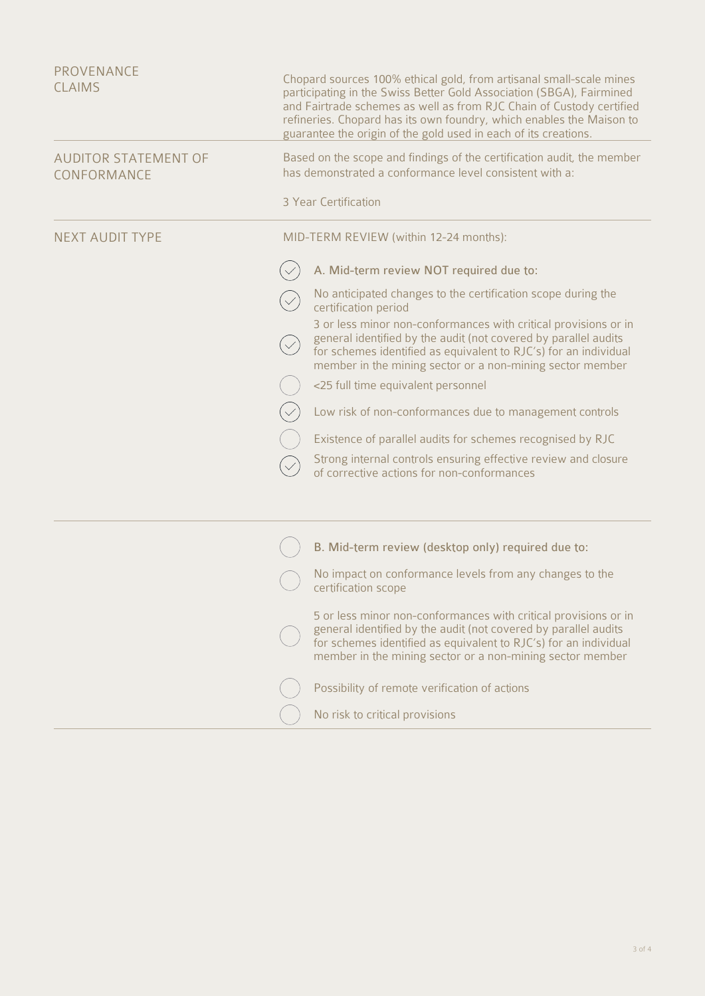| <b>PROVENANCE</b><br><b>CLAIMS</b>         | Chopard sources 100% ethical gold, from artisanal small-scale mines<br>participating in the Swiss Better Gold Association (SBGA), Fairmined<br>and Fairtrade schemes as well as from RJC Chain of Custody certified<br>refineries. Chopard has its own foundry, which enables the Maison to<br>guarantee the origin of the gold used in each of its creations. |  |
|--------------------------------------------|----------------------------------------------------------------------------------------------------------------------------------------------------------------------------------------------------------------------------------------------------------------------------------------------------------------------------------------------------------------|--|
| <b>AUDITOR STATEMENT OF</b><br>CONFORMANCE | Based on the scope and findings of the certification audit, the member<br>has demonstrated a conformance level consistent with a:                                                                                                                                                                                                                              |  |
|                                            | 3 Year Certification                                                                                                                                                                                                                                                                                                                                           |  |
| <b>NEXT AUDIT TYPE</b>                     | MID-TERM REVIEW (within 12-24 months):                                                                                                                                                                                                                                                                                                                         |  |
|                                            | A. Mid-term review NOT required due to:                                                                                                                                                                                                                                                                                                                        |  |
|                                            | No anticipated changes to the certification scope during the<br>certification period                                                                                                                                                                                                                                                                           |  |
|                                            | 3 or less minor non-conformances with critical provisions or in<br>general identified by the audit (not covered by parallel audits<br>for schemes identified as equivalent to RJC's) for an individual<br>member in the mining sector or a non-mining sector member                                                                                            |  |
|                                            | <25 full time equivalent personnel                                                                                                                                                                                                                                                                                                                             |  |
|                                            | Low risk of non-conformances due to management controls                                                                                                                                                                                                                                                                                                        |  |
|                                            | Existence of parallel audits for schemes recognised by RJC                                                                                                                                                                                                                                                                                                     |  |
|                                            | Strong internal controls ensuring effective review and closure<br>of corrective actions for non-conformances                                                                                                                                                                                                                                                   |  |
|                                            |                                                                                                                                                                                                                                                                                                                                                                |  |
|                                            | B. Mid-term review (desktop only) required due to:                                                                                                                                                                                                                                                                                                             |  |
|                                            | No impact on conformance levels from any changes to the<br>certification scope                                                                                                                                                                                                                                                                                 |  |
|                                            | 5 or less minor non-conformances with critical provisions or in<br>general identified by the audit (not covered by parallel audits<br>for schemes identified as equivalent to RJC's) for an individual<br>member in the mining sector or a non-mining sector member                                                                                            |  |
|                                            | Possibility of remote verification of actions                                                                                                                                                                                                                                                                                                                  |  |
|                                            | No risk to critical provisions                                                                                                                                                                                                                                                                                                                                 |  |